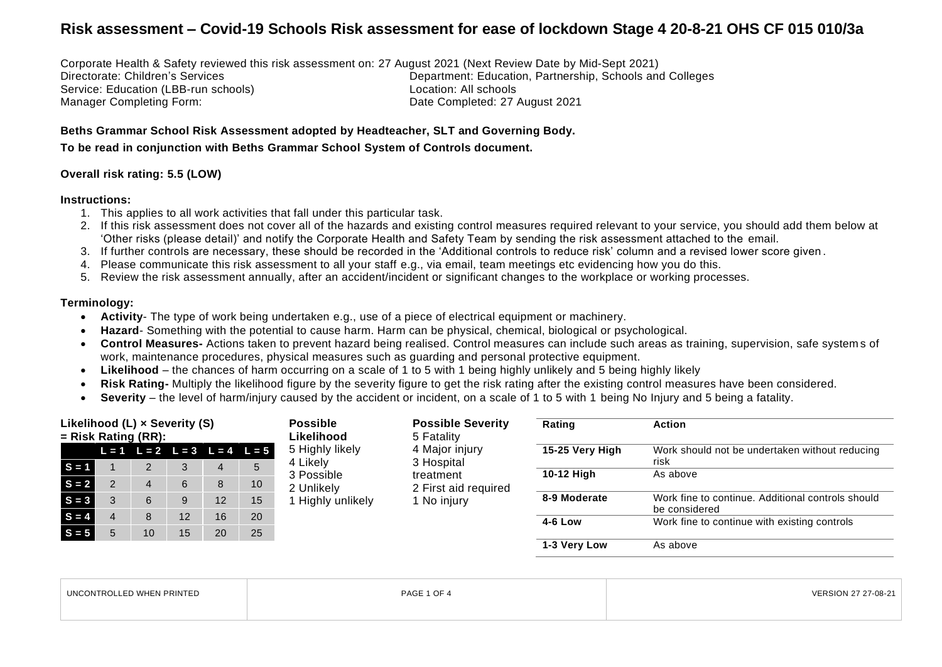Corporate Health & Safety reviewed this risk assessment on: 27 August 2021 (Next Review Date by Mid-Sept 2021) Directorate: Children's Services **Department: Education, Partnership, Schools and Colleges** Service: Education (LBB-run schools) <br>
Manager Completing Form: Completing Service: 27 Date Completed: 27 August 2021

**Beths Grammar School Risk Assessment adopted by Headteacher, SLT and Governing Body.**

**To be read in conjunction with Beths Grammar School System of Controls document.**

#### **Overall risk rating: 5.5 (LOW)**

#### **Instructions:**

- 1. This applies to all work activities that fall under this particular task.
- 2. If this risk assessment does not cover all of the hazards and existing control measures required relevant to your service, you should add them below at 'Other risks (please detail)' and notify the Corporate Health and Safety Team by sending the risk assessment attached to the email.
- 3. If further controls are necessary, these should be recorded in the 'Additional controls to reduce risk' column and a revised lower score given.
- 4. Please communicate this risk assessment to all your staff e.g., via email, team meetings etc evidencing how you do this.
- 5. Review the risk assessment annually, after an accident/incident or significant changes to the workplace or working processes.

#### **Terminology:**

- **Activity** The type of work being undertaken e.g., use of a piece of electrical equipment or machinery.
- **Hazard** Something with the potential to cause harm. Harm can be physical, chemical, biological or psychological.
- **Control Measures-** Actions taken to prevent hazard being realised. Control measures can include such areas as training, supervision, safe system s of work, maintenance procedures, physical measures such as guarding and personal protective equipment.
- **Likelihood**  the chances of harm occurring on a scale of 1 to 5 with 1 being highly unlikely and 5 being highly likely
- **Risk Rating-** Multiply the likelihood figure by the severity figure to get the risk rating after the existing control measures have been considered.
- **Severity** the level of harm/injury caused by the accident or incident, on a scale of 1 to 5 with 1 being No Injury and 5 being a fatality.

| Likelihood $(L) \times$ Severity $(S)$<br>$=$ Risk Rating (RR): |  |                |                                         | <b>Possible</b><br>Likelihood | <b>Possible Severity</b><br>5 Fatality | Rating                      | <b>Action</b>                |                 |                                                                    |
|-----------------------------------------------------------------|--|----------------|-----------------------------------------|-------------------------------|----------------------------------------|-----------------------------|------------------------------|-----------------|--------------------------------------------------------------------|
|                                                                 |  |                | $L = 1$ $L = 2$ $L = 3$ $L = 4$ $L = 5$ |                               |                                        | 5 Highly likely<br>4 Likely | 4 Major injury<br>3 Hospital | 15-25 Very High | Work should not be undertaken without reducing<br>risk             |
| $S = 1$                                                         |  |                | 3                                       | $\overline{4}$                | 5                                      | 3 Possible                  | treatment                    | 10-12 High      | As above                                                           |
| $S = 2$                                                         |  | $\overline{a}$ | 6                                       | 8                             | 10                                     | 2 Unlikely                  | 2 First aid required         |                 |                                                                    |
| $S = 3$                                                         |  | 6              | 9                                       | 12                            | 15                                     | Highly unlikely             | 1 No injury                  | 8-9 Moderate    | Work fine to continue. Additional controls should<br>be considered |
| $S = 4$                                                         |  | 8              | 12                                      | 16                            | 20                                     |                             |                              | <b>4-6 Low</b>  | Work fine to continue with existing controls                       |
| $S = 5$                                                         |  | 10             | 15                                      | 20                            | 25                                     |                             |                              |                 |                                                                    |
|                                                                 |  |                |                                         |                               |                                        |                             |                              | 1-3 Very Low    | As above                                                           |

| <b>UNCONTROL</b><br>LLED WHEN PRINTED | ຳ∩⊾<br>PAG<br>. | VERSION<br>$\sim$<br>27-08-2 |
|---------------------------------------|-----------------|------------------------------|
|                                       |                 |                              |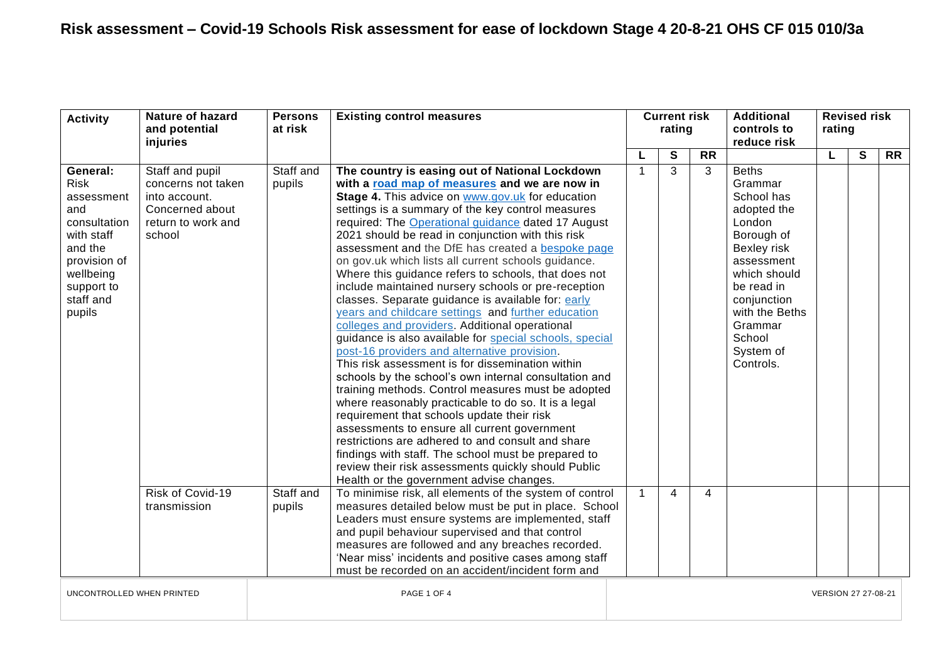| <b>Activity</b>                                                                                                                                         | <b>Nature of hazard</b><br>and potential<br>injuries                                                      | <b>Persons</b><br>at risk | <b>Existing control measures</b>                                                                                                                                                                                                                                                                                                                                                                                                                                                                                                                                                                                                                                                                                                                                                                                                                                                                                                                                                                                                                                                                                                                                                                                                                                                                                                                                |                     | <b>Current risk</b><br>rating |                | <b>Additional</b><br>controls to<br>reduce risk                                                                                                                                                                         | rating | <b>Revised risk</b> |           |
|---------------------------------------------------------------------------------------------------------------------------------------------------------|-----------------------------------------------------------------------------------------------------------|---------------------------|-----------------------------------------------------------------------------------------------------------------------------------------------------------------------------------------------------------------------------------------------------------------------------------------------------------------------------------------------------------------------------------------------------------------------------------------------------------------------------------------------------------------------------------------------------------------------------------------------------------------------------------------------------------------------------------------------------------------------------------------------------------------------------------------------------------------------------------------------------------------------------------------------------------------------------------------------------------------------------------------------------------------------------------------------------------------------------------------------------------------------------------------------------------------------------------------------------------------------------------------------------------------------------------------------------------------------------------------------------------------|---------------------|-------------------------------|----------------|-------------------------------------------------------------------------------------------------------------------------------------------------------------------------------------------------------------------------|--------|---------------------|-----------|
|                                                                                                                                                         |                                                                                                           |                           |                                                                                                                                                                                                                                                                                                                                                                                                                                                                                                                                                                                                                                                                                                                                                                                                                                                                                                                                                                                                                                                                                                                                                                                                                                                                                                                                                                 |                     | S                             | <b>RR</b>      |                                                                                                                                                                                                                         | L      | $\mathbf{s}$        | <b>RR</b> |
| General:<br><b>Risk</b><br>assessment<br>and<br>consultation<br>with staff<br>and the<br>provision of<br>wellbeing<br>support to<br>staff and<br>pupils | Staff and pupil<br>concerns not taken<br>into account.<br>Concerned about<br>return to work and<br>school | Staff and<br>pupils       | The country is easing out of National Lockdown<br>with a road map of measures and we are now in<br>Stage 4. This advice on www.gov.uk for education<br>settings is a summary of the key control measures<br>required: The Operational guidance dated 17 August<br>2021 should be read in conjunction with this risk<br>assessment and the DfE has created a bespoke page<br>on gov.uk which lists all current schools guidance.<br>Where this guidance refers to schools, that does not<br>include maintained nursery schools or pre-reception<br>classes. Separate guidance is available for: early<br>years and childcare settings and further education<br>colleges and providers. Additional operational<br>guidance is also available for special schools, special<br>post-16 providers and alternative provision.<br>This risk assessment is for dissemination within<br>schools by the school's own internal consultation and<br>training methods. Control measures must be adopted<br>where reasonably practicable to do so. It is a legal<br>requirement that schools update their risk<br>assessments to ensure all current government<br>restrictions are adhered to and consult and share<br>findings with staff. The school must be prepared to<br>review their risk assessments quickly should Public<br>Health or the government advise changes. |                     | $\overline{3}$                | 3              | <b>Beths</b><br>Grammar<br>School has<br>adopted the<br>London<br>Borough of<br>Bexley risk<br>assessment<br>which should<br>be read in<br>conjunction<br>with the Beths<br>Grammar<br>School<br>System of<br>Controls. |        |                     |           |
|                                                                                                                                                         | Risk of Covid-19<br>transmission                                                                          | Staff and<br>pupils       | To minimise risk, all elements of the system of control<br>measures detailed below must be put in place. School<br>Leaders must ensure systems are implemented, staff<br>and pupil behaviour supervised and that control<br>measures are followed and any breaches recorded.<br>'Near miss' incidents and positive cases among staff<br>must be recorded on an accident/incident form and                                                                                                                                                                                                                                                                                                                                                                                                                                                                                                                                                                                                                                                                                                                                                                                                                                                                                                                                                                       |                     | 4                             | $\overline{4}$ |                                                                                                                                                                                                                         |        |                     |           |
| UNCONTROLLED WHEN PRINTED                                                                                                                               |                                                                                                           |                           | PAGE 1 OF 4                                                                                                                                                                                                                                                                                                                                                                                                                                                                                                                                                                                                                                                                                                                                                                                                                                                                                                                                                                                                                                                                                                                                                                                                                                                                                                                                                     | VERSION 27 27-08-21 |                               |                |                                                                                                                                                                                                                         |        |                     |           |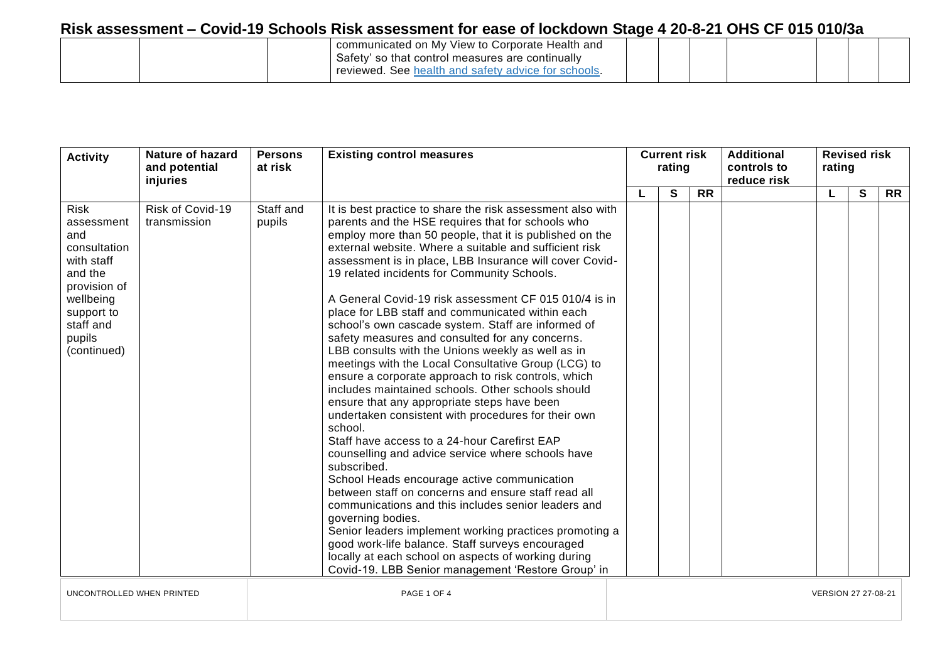|  | communicated on My View to Corporate Health and<br>Safety' so that control measures are continually<br>l. See health and safety advice for schools<br>reviewed. |  |  |  |  |
|--|-----------------------------------------------------------------------------------------------------------------------------------------------------------------|--|--|--|--|
|  |                                                                                                                                                                 |  |  |  |  |

| <b>Activity</b>                                                                                                                                            | <b>Nature of hazard</b><br><b>Existing control measures</b><br><b>Persons</b><br>and potential<br>at risk<br>injuries | <b>Current risk</b><br>rating |                                                                                                                                                                                                                                                                                                                                                                                                                                                                                                                                                                                                                                                                                                                                                                                                                                                                                                                                                                                                                                                                                                                                                                                                                                                                                                                                                                                                                                                |  | <b>Additional</b><br>controls to<br>reduce risk | <b>Revised risk</b><br>rating |  |    |   |           |
|------------------------------------------------------------------------------------------------------------------------------------------------------------|-----------------------------------------------------------------------------------------------------------------------|-------------------------------|------------------------------------------------------------------------------------------------------------------------------------------------------------------------------------------------------------------------------------------------------------------------------------------------------------------------------------------------------------------------------------------------------------------------------------------------------------------------------------------------------------------------------------------------------------------------------------------------------------------------------------------------------------------------------------------------------------------------------------------------------------------------------------------------------------------------------------------------------------------------------------------------------------------------------------------------------------------------------------------------------------------------------------------------------------------------------------------------------------------------------------------------------------------------------------------------------------------------------------------------------------------------------------------------------------------------------------------------------------------------------------------------------------------------------------------------|--|-------------------------------------------------|-------------------------------|--|----|---|-----------|
|                                                                                                                                                            |                                                                                                                       |                               |                                                                                                                                                                                                                                                                                                                                                                                                                                                                                                                                                                                                                                                                                                                                                                                                                                                                                                                                                                                                                                                                                                                                                                                                                                                                                                                                                                                                                                                |  | $\mathbf{s}$                                    | <b>RR</b>                     |  | L. | S | <b>RR</b> |
| <b>Risk</b><br>assessment<br>and<br>consultation<br>with staff<br>and the<br>provision of<br>wellbeing<br>support to<br>staff and<br>pupils<br>(continued) | Risk of Covid-19<br>transmission                                                                                      | Staff and<br>pupils           | It is best practice to share the risk assessment also with<br>parents and the HSE requires that for schools who<br>employ more than 50 people, that it is published on the<br>external website. Where a suitable and sufficient risk<br>assessment is in place, LBB Insurance will cover Covid-<br>19 related incidents for Community Schools.<br>A General Covid-19 risk assessment CF 015 010/4 is in<br>place for LBB staff and communicated within each<br>school's own cascade system. Staff are informed of<br>safety measures and consulted for any concerns.<br>LBB consults with the Unions weekly as well as in<br>meetings with the Local Consultative Group (LCG) to<br>ensure a corporate approach to risk controls, which<br>includes maintained schools. Other schools should<br>ensure that any appropriate steps have been<br>undertaken consistent with procedures for their own<br>school.<br>Staff have access to a 24-hour Carefirst EAP<br>counselling and advice service where schools have<br>subscribed.<br>School Heads encourage active communication<br>between staff on concerns and ensure staff read all<br>communications and this includes senior leaders and<br>governing bodies.<br>Senior leaders implement working practices promoting a<br>good work-life balance. Staff surveys encouraged<br>locally at each school on aspects of working during<br>Covid-19. LBB Senior management 'Restore Group' in |  |                                                 |                               |  |    |   |           |

UNCONTROLLED WHEN PRINTED **Example 21 On the Second PAGE 1 OF 4** PAGE 1 OF 4 VERSION 27 27-08-21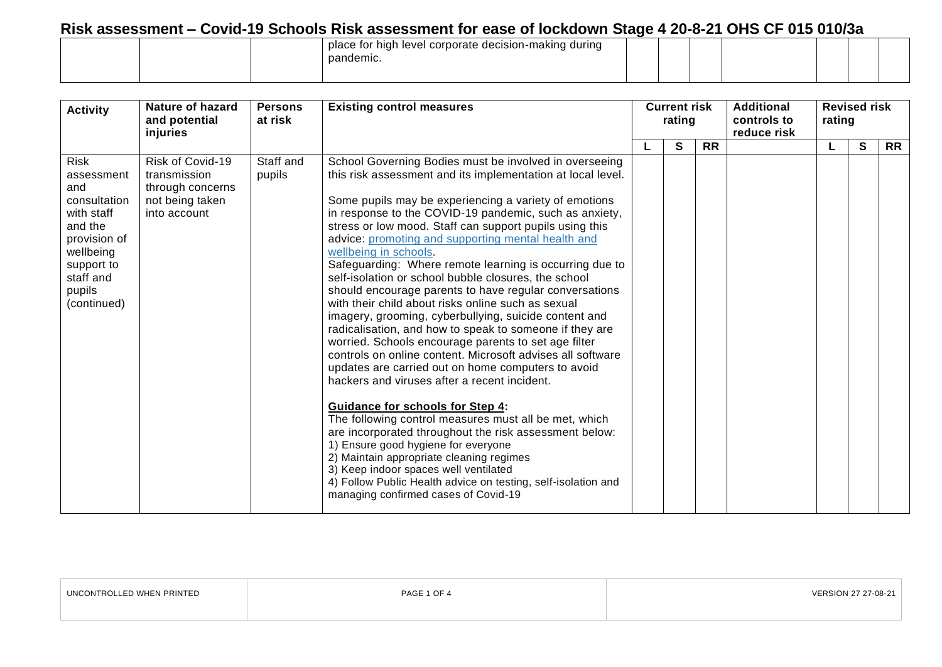|  | place for high level corporate decision-making during  <br>pandemic. |  |  |  |  |
|--|----------------------------------------------------------------------|--|--|--|--|
|  |                                                                      |  |  |  |  |

| <b>Activity</b>                                                                                                                                            | <b>Nature of hazard</b><br>and potential<br>injuries                                    | <b>Persons</b><br><b>Existing control measures</b><br>at risk |                                                                                                                                                                                                                                                                                                                                                                                                                                                                                                                                                                                                                                                                                                                                                                                                                                                                                                                                                                                                                                                                                                                                                                                                                                                                                                                                                                          | <b>Current risk</b><br>rating |           | <b>Additional</b><br>controls to<br>reduce risk | rating | <b>Revised risk</b> |           |
|------------------------------------------------------------------------------------------------------------------------------------------------------------|-----------------------------------------------------------------------------------------|---------------------------------------------------------------|--------------------------------------------------------------------------------------------------------------------------------------------------------------------------------------------------------------------------------------------------------------------------------------------------------------------------------------------------------------------------------------------------------------------------------------------------------------------------------------------------------------------------------------------------------------------------------------------------------------------------------------------------------------------------------------------------------------------------------------------------------------------------------------------------------------------------------------------------------------------------------------------------------------------------------------------------------------------------------------------------------------------------------------------------------------------------------------------------------------------------------------------------------------------------------------------------------------------------------------------------------------------------------------------------------------------------------------------------------------------------|-------------------------------|-----------|-------------------------------------------------|--------|---------------------|-----------|
|                                                                                                                                                            |                                                                                         |                                                               |                                                                                                                                                                                                                                                                                                                                                                                                                                                                                                                                                                                                                                                                                                                                                                                                                                                                                                                                                                                                                                                                                                                                                                                                                                                                                                                                                                          | S                             | <b>RR</b> |                                                 | L      | S                   | <b>RR</b> |
| <b>Risk</b><br>assessment<br>and<br>consultation<br>with staff<br>and the<br>provision of<br>wellbeing<br>support to<br>staff and<br>pupils<br>(continued) | Risk of Covid-19<br>transmission<br>through concerns<br>not being taken<br>into account | Staff and<br>pupils                                           | School Governing Bodies must be involved in overseeing<br>this risk assessment and its implementation at local level.<br>Some pupils may be experiencing a variety of emotions<br>in response to the COVID-19 pandemic, such as anxiety,<br>stress or low mood. Staff can support pupils using this<br>advice: promoting and supporting mental health and<br>wellbeing in schools.<br>Safeguarding: Where remote learning is occurring due to<br>self-isolation or school bubble closures, the school<br>should encourage parents to have regular conversations<br>with their child about risks online such as sexual<br>imagery, grooming, cyberbullying, suicide content and<br>radicalisation, and how to speak to someone if they are<br>worried. Schools encourage parents to set age filter<br>controls on online content. Microsoft advises all software<br>updates are carried out on home computers to avoid<br>hackers and viruses after a recent incident.<br><b>Guidance for schools for Step 4:</b><br>The following control measures must all be met, which<br>are incorporated throughout the risk assessment below:<br>1) Ensure good hygiene for everyone<br>2) Maintain appropriate cleaning regimes<br>3) Keep indoor spaces well ventilated<br>4) Follow Public Health advice on testing, self-isolation and<br>managing confirmed cases of Covid-19 |                               |           |                                                 |        |                     |           |

| UNCONTROLLED WHEN PRINTED | PAGE 1 OF 4 | VERSION<br>* 27-08-2 |
|---------------------------|-------------|----------------------|
|                           |             |                      |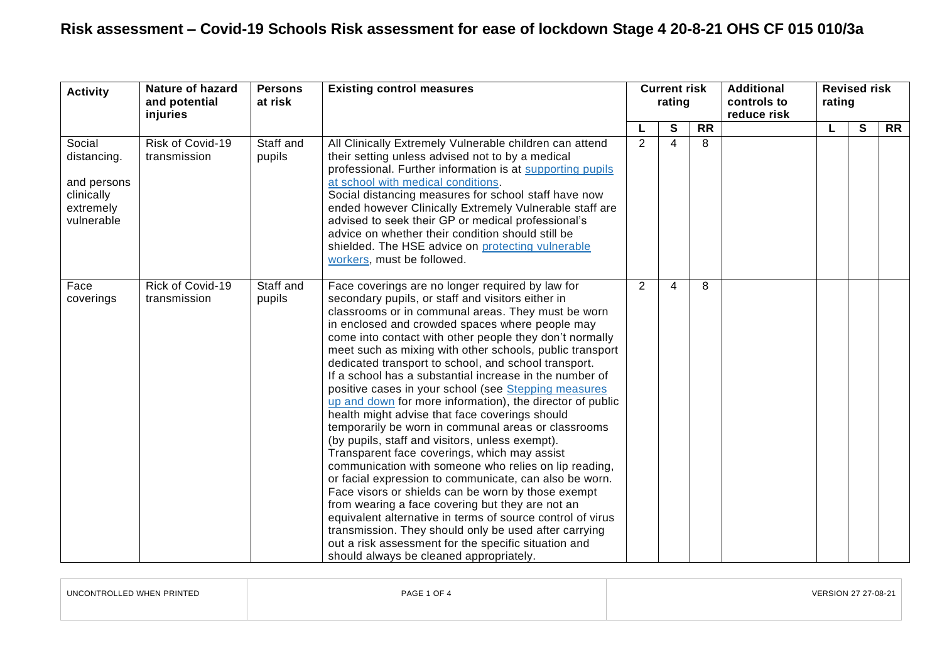| <b>Activity</b>                                                               | <b>Nature of hazard</b><br>and potential<br>injuries | <b>Persons</b><br>at risk | <b>Existing control measures</b>                                                                                                                                                                                                                                                                                                                                                                                                                                                                                                                                                                                                                                                                                                                                                                                                                                                                                                                                                                                                                                                                                                                                                                                                                 |                | <b>Current risk</b><br>rating |                 | <b>Additional</b><br>controls to<br>reduce risk | rating | <b>Revised risk</b> |                 |
|-------------------------------------------------------------------------------|------------------------------------------------------|---------------------------|--------------------------------------------------------------------------------------------------------------------------------------------------------------------------------------------------------------------------------------------------------------------------------------------------------------------------------------------------------------------------------------------------------------------------------------------------------------------------------------------------------------------------------------------------------------------------------------------------------------------------------------------------------------------------------------------------------------------------------------------------------------------------------------------------------------------------------------------------------------------------------------------------------------------------------------------------------------------------------------------------------------------------------------------------------------------------------------------------------------------------------------------------------------------------------------------------------------------------------------------------|----------------|-------------------------------|-----------------|-------------------------------------------------|--------|---------------------|-----------------|
|                                                                               |                                                      |                           |                                                                                                                                                                                                                                                                                                                                                                                                                                                                                                                                                                                                                                                                                                                                                                                                                                                                                                                                                                                                                                                                                                                                                                                                                                                  |                | $\mathbf{s}$                  | $\overline{RR}$ |                                                 |        | $\mathbf{s}$        | $\overline{RR}$ |
| Social<br>distancing.<br>and persons<br>clinically<br>extremely<br>vulnerable | Risk of Covid-19<br>transmission                     | Staff and<br>pupils       | All Clinically Extremely Vulnerable children can attend<br>their setting unless advised not to by a medical<br>professional. Further information is at supporting pupils<br>at school with medical conditions.<br>Social distancing measures for school staff have now<br>ended however Clinically Extremely Vulnerable staff are<br>advised to seek their GP or medical professional's<br>advice on whether their condition should still be<br>shielded. The HSE advice on protecting vulnerable<br>workers, must be followed.                                                                                                                                                                                                                                                                                                                                                                                                                                                                                                                                                                                                                                                                                                                  | $\overline{2}$ | $\boldsymbol{\varDelta}$      | 8               |                                                 |        |                     |                 |
| Face<br>coverings                                                             | Rick of Covid-19<br>transmission                     | Staff and<br>pupils       | Face coverings are no longer required by law for<br>secondary pupils, or staff and visitors either in<br>classrooms or in communal areas. They must be worn<br>in enclosed and crowded spaces where people may<br>come into contact with other people they don't normally<br>meet such as mixing with other schools, public transport<br>dedicated transport to school, and school transport.<br>If a school has a substantial increase in the number of<br>positive cases in your school (see Stepping measures<br>up and down for more information), the director of public<br>health might advise that face coverings should<br>temporarily be worn in communal areas or classrooms<br>(by pupils, staff and visitors, unless exempt).<br>Transparent face coverings, which may assist<br>communication with someone who relies on lip reading,<br>or facial expression to communicate, can also be worn.<br>Face visors or shields can be worn by those exempt<br>from wearing a face covering but they are not an<br>equivalent alternative in terms of source control of virus<br>transmission. They should only be used after carrying<br>out a risk assessment for the specific situation and<br>should always be cleaned appropriately. | $\overline{2}$ | 4                             | 8               |                                                 |        |                     |                 |

| RINTED<br><b>MUCN DD</b> | PAGE 1 OF 4 |  |
|--------------------------|-------------|--|
|                          |             |  |

 $\Box$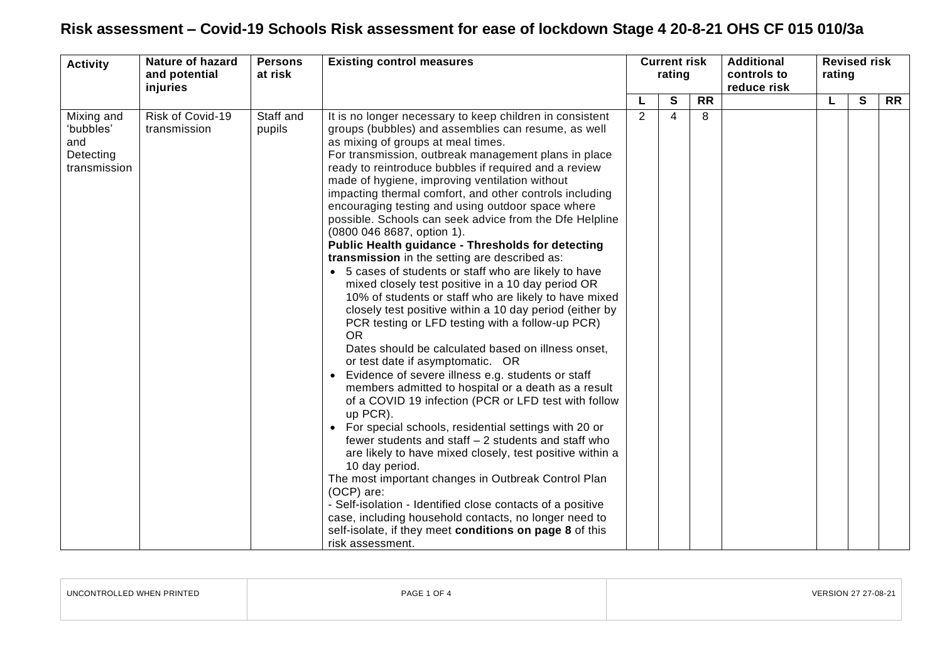| <b>Activity</b>                               | <b>Nature of hazard</b><br>and potential<br>injuries | <b>Persons</b><br>at risk | <b>Existing control measures</b>                                                                                                                                                                                                                                                                                                                                                                                                                                                                                                                                                                                                                                                                                                                                                                                                                                                                                                                                                                                                                                                                                                                                                                                                                                                                                                                                                                                                                                                                                                                                                                                                                                                                 |   | <b>Current risk</b><br>rating |           | <b>Additional</b><br>controls to<br>reduce risk | rating | <b>Revised risk</b> |           |
|-----------------------------------------------|------------------------------------------------------|---------------------------|--------------------------------------------------------------------------------------------------------------------------------------------------------------------------------------------------------------------------------------------------------------------------------------------------------------------------------------------------------------------------------------------------------------------------------------------------------------------------------------------------------------------------------------------------------------------------------------------------------------------------------------------------------------------------------------------------------------------------------------------------------------------------------------------------------------------------------------------------------------------------------------------------------------------------------------------------------------------------------------------------------------------------------------------------------------------------------------------------------------------------------------------------------------------------------------------------------------------------------------------------------------------------------------------------------------------------------------------------------------------------------------------------------------------------------------------------------------------------------------------------------------------------------------------------------------------------------------------------------------------------------------------------------------------------------------------------|---|-------------------------------|-----------|-------------------------------------------------|--------|---------------------|-----------|
| Mixing and                                    |                                                      |                           |                                                                                                                                                                                                                                                                                                                                                                                                                                                                                                                                                                                                                                                                                                                                                                                                                                                                                                                                                                                                                                                                                                                                                                                                                                                                                                                                                                                                                                                                                                                                                                                                                                                                                                  |   | S                             | <b>RR</b> |                                                 | L.     | $\overline{s}$      | <b>RR</b> |
| 'bubbles'<br>and<br>Detecting<br>transmission | Risk of Covid-19<br>transmission                     | Staff and<br>pupils       | It is no longer necessary to keep children in consistent<br>groups (bubbles) and assemblies can resume, as well<br>as mixing of groups at meal times.<br>For transmission, outbreak management plans in place<br>ready to reintroduce bubbles if required and a review<br>made of hygiene, improving ventilation without<br>impacting thermal comfort, and other controls including<br>encouraging testing and using outdoor space where<br>possible. Schools can seek advice from the Dfe Helpline<br>(0800 046 8687, option 1).<br>Public Health guidance - Thresholds for detecting<br>transmission in the setting are described as:<br>• 5 cases of students or staff who are likely to have<br>mixed closely test positive in a 10 day period OR<br>10% of students or staff who are likely to have mixed<br>closely test positive within a 10 day period (either by<br>PCR testing or LFD testing with a follow-up PCR)<br><b>OR</b><br>Dates should be calculated based on illness onset,<br>or test date if asymptomatic. OR<br>• Evidence of severe illness e.g. students or staff<br>members admitted to hospital or a death as a result<br>of a COVID 19 infection (PCR or LFD test with follow<br>up PCR).<br>• For special schools, residential settings with 20 or<br>fewer students and staff - 2 students and staff who<br>are likely to have mixed closely, test positive within a<br>10 day period.<br>The most important changes in Outbreak Control Plan<br>(OCP) are:<br>- Self-isolation - Identified close contacts of a positive<br>case, including household contacts, no longer need to<br>self-isolate, if they meet conditions on page 8 of this<br>risk assessment. | 2 | 4                             | 8         |                                                 |        |                     |           |

| UNCONTROLLED WHEN PRINTED | PAGE 1 OF 4 | VERSION 27 27-08-21 |
|---------------------------|-------------|---------------------|
|                           |             |                     |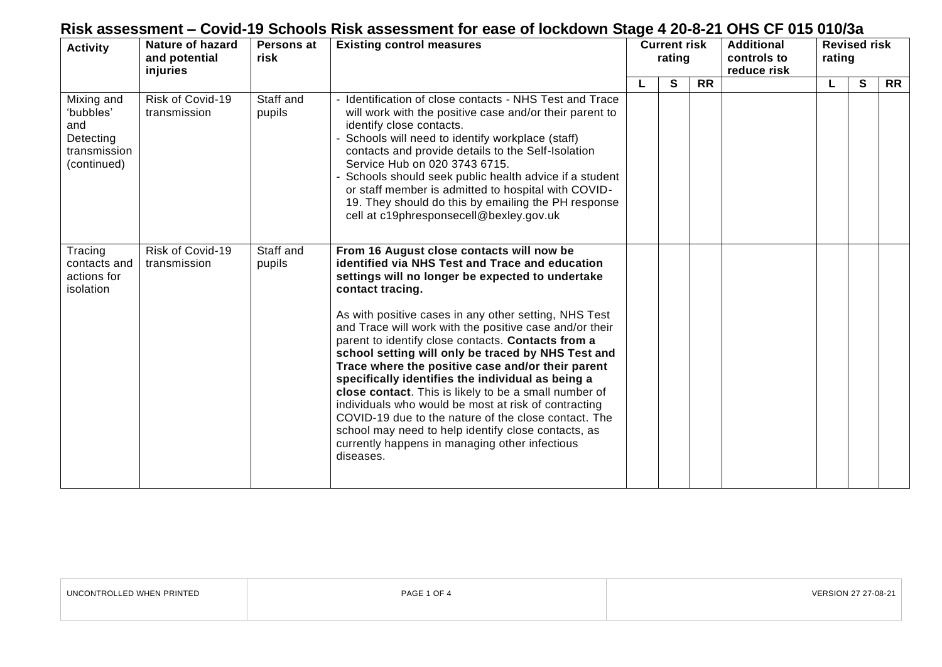| <b>Activity</b>                                                            | Nature of hazard<br>and potential<br>injuries | Persons at<br>risk  | <b>Existing control measures</b>                                                                                                                                                                                                                                                                                                                                                                                                                                                                                                                                                                                                                                                                                                                                                                              |  |   | <b>Current risk</b><br>rating |  | <b>Additional</b><br>controls to<br>reduce risk |             |           | <b>Revised risk</b><br>rating |  |
|----------------------------------------------------------------------------|-----------------------------------------------|---------------------|---------------------------------------------------------------------------------------------------------------------------------------------------------------------------------------------------------------------------------------------------------------------------------------------------------------------------------------------------------------------------------------------------------------------------------------------------------------------------------------------------------------------------------------------------------------------------------------------------------------------------------------------------------------------------------------------------------------------------------------------------------------------------------------------------------------|--|---|-------------------------------|--|-------------------------------------------------|-------------|-----------|-------------------------------|--|
|                                                                            |                                               |                     |                                                                                                                                                                                                                                                                                                                                                                                                                                                                                                                                                                                                                                                                                                                                                                                                               |  | S | <b>RR</b>                     |  |                                                 | $\mathbf s$ | <b>RR</b> |                               |  |
| Mixing and<br>'bubbles'<br>and<br>Detecting<br>transmission<br>(continued) | Risk of Covid-19<br>transmission              | Staff and<br>pupils | - Identification of close contacts - NHS Test and Trace<br>will work with the positive case and/or their parent to<br>identify close contacts.<br>- Schools will need to identify workplace (staff)<br>contacts and provide details to the Self-Isolation<br>Service Hub on 020 3743 6715.<br>- Schools should seek public health advice if a student<br>or staff member is admitted to hospital with COVID-<br>19. They should do this by emailing the PH response<br>cell at c19phresponsecell@bexley.gov.uk                                                                                                                                                                                                                                                                                                |  |   |                               |  |                                                 |             |           |                               |  |
| Tracing<br>contacts and<br>actions for<br>isolation                        | Risk of Covid-19<br>transmission              | Staff and<br>pupils | From 16 August close contacts will now be<br>identified via NHS Test and Trace and education<br>settings will no longer be expected to undertake<br>contact tracing.<br>As with positive cases in any other setting, NHS Test<br>and Trace will work with the positive case and/or their<br>parent to identify close contacts. Contacts from a<br>school setting will only be traced by NHS Test and<br>Trace where the positive case and/or their parent<br>specifically identifies the individual as being a<br>close contact. This is likely to be a small number of<br>individuals who would be most at risk of contracting<br>COVID-19 due to the nature of the close contact. The<br>school may need to help identify close contacts, as<br>currently happens in managing other infectious<br>diseases. |  |   |                               |  |                                                 |             |           |                               |  |

| UNCONTROLLED WHEN PRINTED | $PAGE 1 \cap F$ | <b>VERSION 27 27-08-21</b> |
|---------------------------|-----------------|----------------------------|
|---------------------------|-----------------|----------------------------|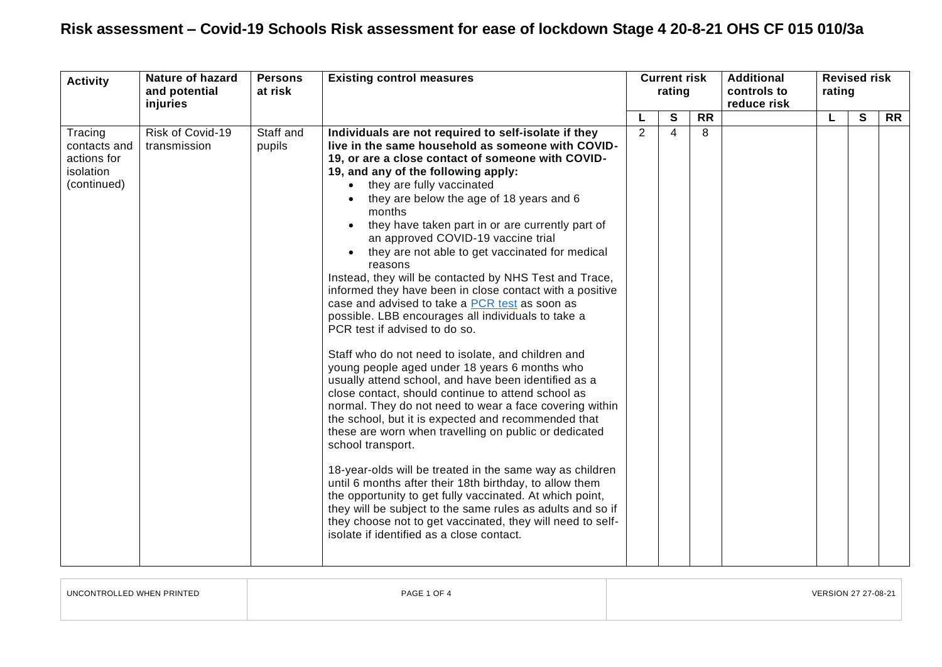| <b>Activity</b>                                                    | Nature of hazard<br>and potential<br>injuries | <b>Persons</b><br>at risk | <b>Existing control measures</b>                                                                                                                                                                                                                                                                                                                                                                                                                                                                                                                                                                                                                                                                                                                                                                                                                                                                                                                                                                                                                                                                                                                                                                                                                                                                                                                                                                                                                                                                                                                     | <b>Current risk</b><br>rating |                         |           | <b>Additional</b><br>controls to<br>reduce risk | <b>Revised risk</b><br>rating |   |           |
|--------------------------------------------------------------------|-----------------------------------------------|---------------------------|------------------------------------------------------------------------------------------------------------------------------------------------------------------------------------------------------------------------------------------------------------------------------------------------------------------------------------------------------------------------------------------------------------------------------------------------------------------------------------------------------------------------------------------------------------------------------------------------------------------------------------------------------------------------------------------------------------------------------------------------------------------------------------------------------------------------------------------------------------------------------------------------------------------------------------------------------------------------------------------------------------------------------------------------------------------------------------------------------------------------------------------------------------------------------------------------------------------------------------------------------------------------------------------------------------------------------------------------------------------------------------------------------------------------------------------------------------------------------------------------------------------------------------------------------|-------------------------------|-------------------------|-----------|-------------------------------------------------|-------------------------------|---|-----------|
|                                                                    |                                               |                           |                                                                                                                                                                                                                                                                                                                                                                                                                                                                                                                                                                                                                                                                                                                                                                                                                                                                                                                                                                                                                                                                                                                                                                                                                                                                                                                                                                                                                                                                                                                                                      |                               | S                       | <b>RR</b> |                                                 | L                             | S | <b>RR</b> |
| Tracing<br>contacts and<br>actions for<br>isolation<br>(continued) | Risk of Covid-19<br>transmission              | Staff and<br>pupils       | Individuals are not required to self-isolate if they<br>live in the same household as someone with COVID-<br>19, or are a close contact of someone with COVID-<br>19, and any of the following apply:<br>they are fully vaccinated<br>$\bullet$<br>they are below the age of 18 years and 6<br>$\bullet$<br>months<br>they have taken part in or are currently part of<br>$\bullet$<br>an approved COVID-19 vaccine trial<br>they are not able to get vaccinated for medical<br>$\bullet$<br>reasons<br>Instead, they will be contacted by NHS Test and Trace,<br>informed they have been in close contact with a positive<br>case and advised to take a PCR test as soon as<br>possible. LBB encourages all individuals to take a<br>PCR test if advised to do so.<br>Staff who do not need to isolate, and children and<br>young people aged under 18 years 6 months who<br>usually attend school, and have been identified as a<br>close contact, should continue to attend school as<br>normal. They do not need to wear a face covering within<br>the school, but it is expected and recommended that<br>these are worn when travelling on public or dedicated<br>school transport.<br>18-year-olds will be treated in the same way as children<br>until 6 months after their 18th birthday, to allow them<br>the opportunity to get fully vaccinated. At which point,<br>they will be subject to the same rules as adults and so if<br>they choose not to get vaccinated, they will need to self-<br>isolate if identified as a close contact. | 2                             | $\overline{\mathbf{A}}$ | 8         |                                                 |                               |   |           |

| UNCONTROLLED WHEN PRINTED | PAGE 1 OF 4 | VERSION 27 27-08-21 |  |
|---------------------------|-------------|---------------------|--|
|                           |             |                     |  |

 $\overline{1}$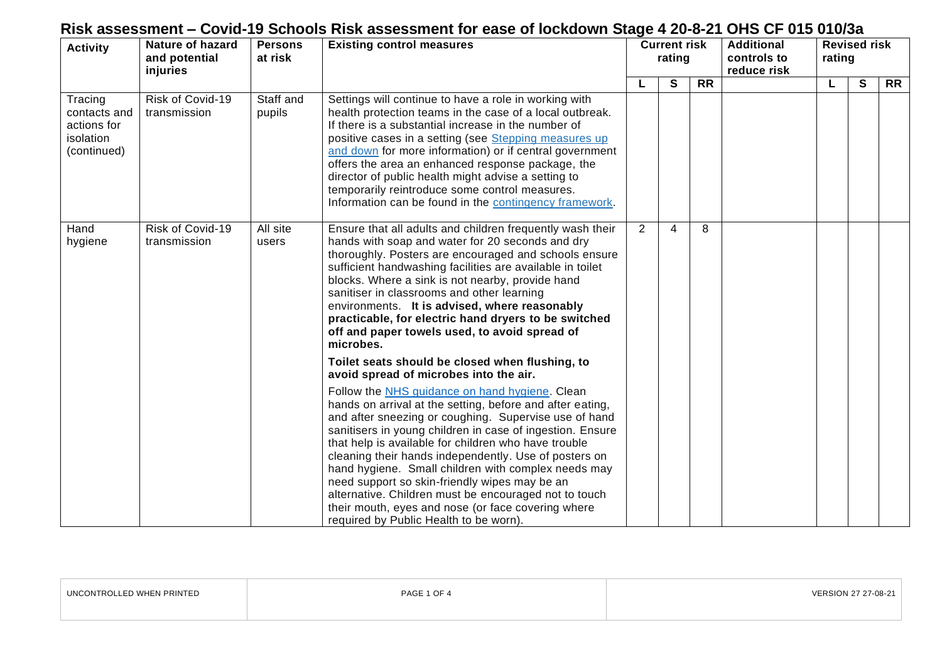| <b>Activity</b>                                                    | <b>Nature of hazard</b><br>and potential<br>injuries | <b>Persons</b><br>at risk | <b>Existing control measures</b>                                                                                                                                                                                                                                                                                                                                                                                                                                                                                                                                                                                    |                |   | <b>Additional</b><br><b>Current risk</b><br>rating<br>controls to<br>reduce risk |  |  |   |           | <b>Revised risk</b><br>rating |  |
|--------------------------------------------------------------------|------------------------------------------------------|---------------------------|---------------------------------------------------------------------------------------------------------------------------------------------------------------------------------------------------------------------------------------------------------------------------------------------------------------------------------------------------------------------------------------------------------------------------------------------------------------------------------------------------------------------------------------------------------------------------------------------------------------------|----------------|---|----------------------------------------------------------------------------------|--|--|---|-----------|-------------------------------|--|
|                                                                    |                                                      |                           |                                                                                                                                                                                                                                                                                                                                                                                                                                                                                                                                                                                                                     |                | S | <b>RR</b>                                                                        |  |  | S | <b>RR</b> |                               |  |
| Tracing<br>contacts and<br>actions for<br>isolation<br>(continued) | Risk of Covid-19<br>transmission                     | Staff and<br>pupils       | Settings will continue to have a role in working with<br>health protection teams in the case of a local outbreak.<br>If there is a substantial increase in the number of<br>positive cases in a setting (see Stepping measures up<br>and down for more information) or if central government<br>offers the area an enhanced response package, the<br>director of public health might advise a setting to<br>temporarily reintroduce some control measures.<br>Information can be found in the contingency framework.                                                                                                |                |   |                                                                                  |  |  |   |           |                               |  |
| Hand<br>hygiene                                                    | Risk of Covid-19<br>transmission                     | All site<br>users         | Ensure that all adults and children frequently wash their<br>hands with soap and water for 20 seconds and dry<br>thoroughly. Posters are encouraged and schools ensure<br>sufficient handwashing facilities are available in toilet<br>blocks. Where a sink is not nearby, provide hand<br>sanitiser in classrooms and other learning<br>environments. It is advised, where reasonably<br>practicable, for electric hand dryers to be switched<br>off and paper towels used, to avoid spread of<br>microbes.                                                                                                        | $\overline{2}$ | 4 | 8                                                                                |  |  |   |           |                               |  |
|                                                                    |                                                      |                           | Toilet seats should be closed when flushing, to<br>avoid spread of microbes into the air.                                                                                                                                                                                                                                                                                                                                                                                                                                                                                                                           |                |   |                                                                                  |  |  |   |           |                               |  |
|                                                                    |                                                      |                           | Follow the NHS guidance on hand hygiene. Clean<br>hands on arrival at the setting, before and after eating,<br>and after sneezing or coughing. Supervise use of hand<br>sanitisers in young children in case of ingestion. Ensure<br>that help is available for children who have trouble<br>cleaning their hands independently. Use of posters on<br>hand hygiene. Small children with complex needs may<br>need support so skin-friendly wipes may be an<br>alternative. Children must be encouraged not to touch<br>their mouth, eyes and nose (or face covering where<br>required by Public Health to be worn). |                |   |                                                                                  |  |  |   |           |                               |  |

| UNCONTROLLED WHEN PRINTED | PAGE 1 OF 4 | 27-08-21 |
|---------------------------|-------------|----------|
|                           |             |          |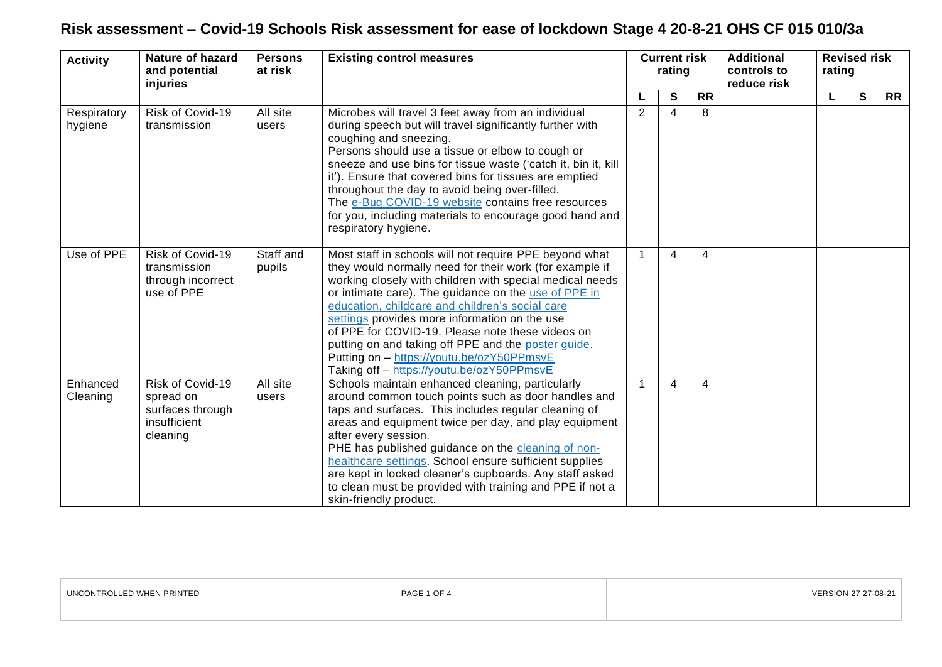| <b>Activity</b>        | <b>Nature of hazard</b><br>and potential<br>injuries                          | <b>Persons</b><br>at risk | <b>Existing control measures</b>                                                                                                                                                                                                                                                                                                                                                                                                                                                                                                               | <b>Current risk</b><br>rating |   |           |  |  |              | <b>Additional</b><br>controls to<br>reduce risk | <b>Revised risk</b><br>rating |  |  |
|------------------------|-------------------------------------------------------------------------------|---------------------------|------------------------------------------------------------------------------------------------------------------------------------------------------------------------------------------------------------------------------------------------------------------------------------------------------------------------------------------------------------------------------------------------------------------------------------------------------------------------------------------------------------------------------------------------|-------------------------------|---|-----------|--|--|--------------|-------------------------------------------------|-------------------------------|--|--|
|                        |                                                                               |                           |                                                                                                                                                                                                                                                                                                                                                                                                                                                                                                                                                |                               | S | <b>RR</b> |  |  | $\mathbf{s}$ | <b>RR</b>                                       |                               |  |  |
| Respiratory<br>hygiene | Risk of Covid-19<br>transmission                                              | All site<br>users         | Microbes will travel 3 feet away from an individual<br>during speech but will travel significantly further with<br>coughing and sneezing.<br>Persons should use a tissue or elbow to cough or<br>sneeze and use bins for tissue waste ('catch it, bin it, kill<br>it'). Ensure that covered bins for tissues are emptied<br>throughout the day to avoid being over-filled.<br>The e-Bug COVID-19 website contains free resources<br>for you, including materials to encourage good hand and<br>respiratory hygiene.                            | $\overline{2}$                | 4 | 8         |  |  |              |                                                 |                               |  |  |
| Use of PPE             | Risk of Covid-19<br>transmission<br>through incorrect<br>use of PPE           | Staff and<br>pupils       | Most staff in schools will not require PPE beyond what<br>they would normally need for their work (for example if<br>working closely with children with special medical needs<br>or intimate care). The guidance on the use of PPE in<br>education, childcare and children's social care<br>settings provides more information on the use<br>of PPE for COVID-19. Please note these videos on<br>putting on and taking off PPE and the poster guide.<br>Putting on - https://youtu.be/ozY50PPmsvE<br>Taking off - https://youtu.be/ozY50PPmsvE |                               | 4 | 4         |  |  |              |                                                 |                               |  |  |
| Enhanced<br>Cleaning   | Risk of Covid-19<br>spread on<br>surfaces through<br>insufficient<br>cleaning | All site<br>users         | Schools maintain enhanced cleaning, particularly<br>around common touch points such as door handles and<br>taps and surfaces. This includes regular cleaning of<br>areas and equipment twice per day, and play equipment<br>after every session.<br>PHE has published guidance on the cleaning of non-<br>healthcare settings. School ensure sufficient supplies<br>are kept in locked cleaner's cupboards. Any staff asked<br>to clean must be provided with training and PPE if not a<br>skin-friendly product.                              | $\mathbf{1}$                  | 4 | 4         |  |  |              |                                                 |                               |  |  |

| UNCONTROLLED WHEN PRINTED | PAGE 1 OF 4 | VERSION 27 27-08-21 |
|---------------------------|-------------|---------------------|
|                           |             |                     |

<u> 1989 - Johann Stoff, deutscher Stoff, der Stoff, der Stoff, der Stoff, der Stoff, der Stoff, der Stoff, der S</u>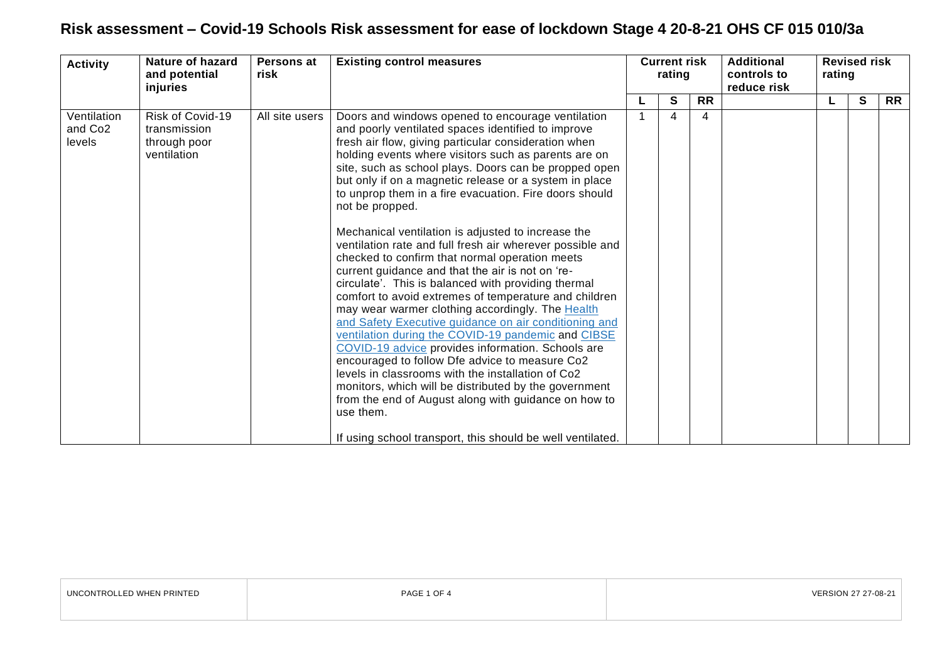| <b>Activity</b>                              | <b>Nature of hazard</b><br>and potential<br>injuries            | Persons at<br>risk | <b>Existing control measures</b>                                                                                                                                                                                                                                                                                                                                                                                                                                                                                                                                                                                                                                                                                                                                                                                                                                                                                                                                                                                                                                                                                                                                                                                                                                                            | <b>Current risk</b><br>rating |   |           |  |  | <b>Additional</b><br>controls to<br>reduce risk | <b>Revised risk</b><br>rating |  |  |
|----------------------------------------------|-----------------------------------------------------------------|--------------------|---------------------------------------------------------------------------------------------------------------------------------------------------------------------------------------------------------------------------------------------------------------------------------------------------------------------------------------------------------------------------------------------------------------------------------------------------------------------------------------------------------------------------------------------------------------------------------------------------------------------------------------------------------------------------------------------------------------------------------------------------------------------------------------------------------------------------------------------------------------------------------------------------------------------------------------------------------------------------------------------------------------------------------------------------------------------------------------------------------------------------------------------------------------------------------------------------------------------------------------------------------------------------------------------|-------------------------------|---|-----------|--|--|-------------------------------------------------|-------------------------------|--|--|
|                                              |                                                                 |                    |                                                                                                                                                                                                                                                                                                                                                                                                                                                                                                                                                                                                                                                                                                                                                                                                                                                                                                                                                                                                                                                                                                                                                                                                                                                                                             |                               | S | <b>RR</b> |  |  | S                                               | <b>RR</b>                     |  |  |
| Ventilation<br>and Co <sub>2</sub><br>levels | Risk of Covid-19<br>transmission<br>through poor<br>ventilation | All site users     | Doors and windows opened to encourage ventilation<br>and poorly ventilated spaces identified to improve<br>fresh air flow, giving particular consideration when<br>holding events where visitors such as parents are on<br>site, such as school plays. Doors can be propped open<br>but only if on a magnetic release or a system in place<br>to unprop them in a fire evacuation. Fire doors should<br>not be propped.<br>Mechanical ventilation is adjusted to increase the<br>ventilation rate and full fresh air wherever possible and<br>checked to confirm that normal operation meets<br>current guidance and that the air is not on 're-<br>circulate'. This is balanced with providing thermal<br>comfort to avoid extremes of temperature and children<br>may wear warmer clothing accordingly. The Health<br>and Safety Executive guidance on air conditioning and<br>ventilation during the COVID-19 pandemic and CIBSE<br>COVID-19 advice provides information. Schools are<br>encouraged to follow Dfe advice to measure Co2<br>levels in classrooms with the installation of Co2<br>monitors, which will be distributed by the government<br>from the end of August along with guidance on how to<br>use them.<br>If using school transport, this should be well ventilated. |                               | 4 | 4         |  |  |                                                 |                               |  |  |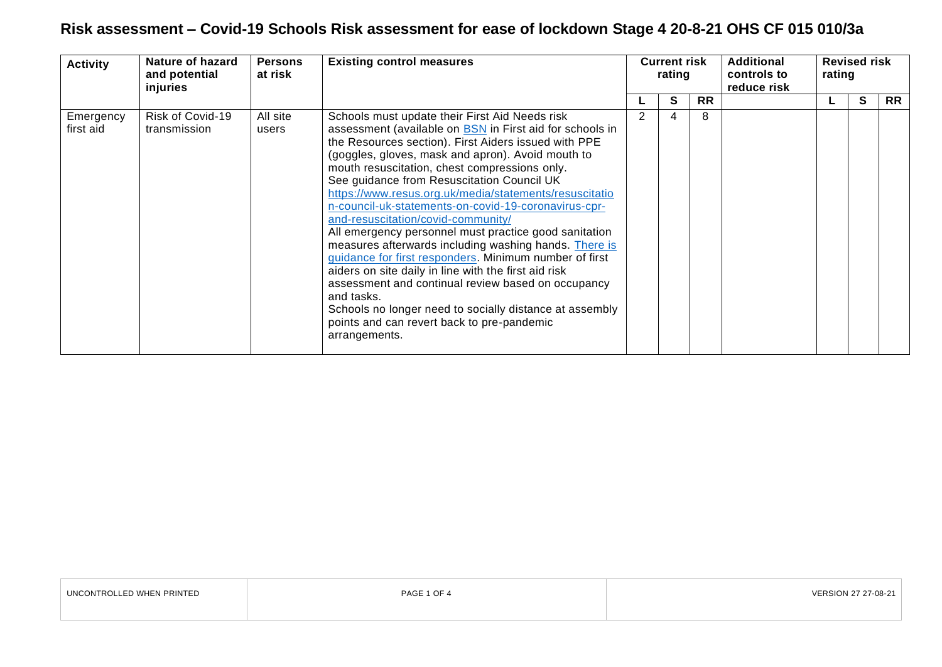| <b>Activity</b>        | Nature of hazard<br>and potential<br>injuries | <b>Persons</b><br>at risk | <b>Existing control measures</b>                                                                                                                                                                                                                                                                                                                                                                                                                                                                                                                                                                                                                                                                                                                                                                                                                                                                                        | <b>Current risk</b><br>rating |           | <b>Additional</b><br>controls to<br>reduce risk | rating | <b>Revised risk</b> |           |
|------------------------|-----------------------------------------------|---------------------------|-------------------------------------------------------------------------------------------------------------------------------------------------------------------------------------------------------------------------------------------------------------------------------------------------------------------------------------------------------------------------------------------------------------------------------------------------------------------------------------------------------------------------------------------------------------------------------------------------------------------------------------------------------------------------------------------------------------------------------------------------------------------------------------------------------------------------------------------------------------------------------------------------------------------------|-------------------------------|-----------|-------------------------------------------------|--------|---------------------|-----------|
|                        |                                               |                           |                                                                                                                                                                                                                                                                                                                                                                                                                                                                                                                                                                                                                                                                                                                                                                                                                                                                                                                         | S                             | <b>RR</b> |                                                 |        | S                   | <b>RR</b> |
| Emergency<br>first aid | Risk of Covid-19<br>transmission              | All site<br>users         | Schools must update their First Aid Needs risk<br>assessment (available on <b>BSN</b> in First aid for schools in<br>the Resources section). First Aiders issued with PPE<br>(goggles, gloves, mask and apron). Avoid mouth to<br>mouth resuscitation, chest compressions only.<br>See guidance from Resuscitation Council UK<br>https://www.resus.org.uk/media/statements/resuscitatio<br>n-council-uk-statements-on-covid-19-coronavirus-cpr-<br>and-resuscitation/covid-community/<br>All emergency personnel must practice good sanitation<br>measures afterwards including washing hands. There is<br>guidance for first responders. Minimum number of first<br>aiders on site daily in line with the first aid risk<br>assessment and continual review based on occupancy<br>and tasks.<br>Schools no longer need to socially distance at assembly<br>points and can revert back to pre-pandemic<br>arrangements. |                               | 8         |                                                 |        |                     |           |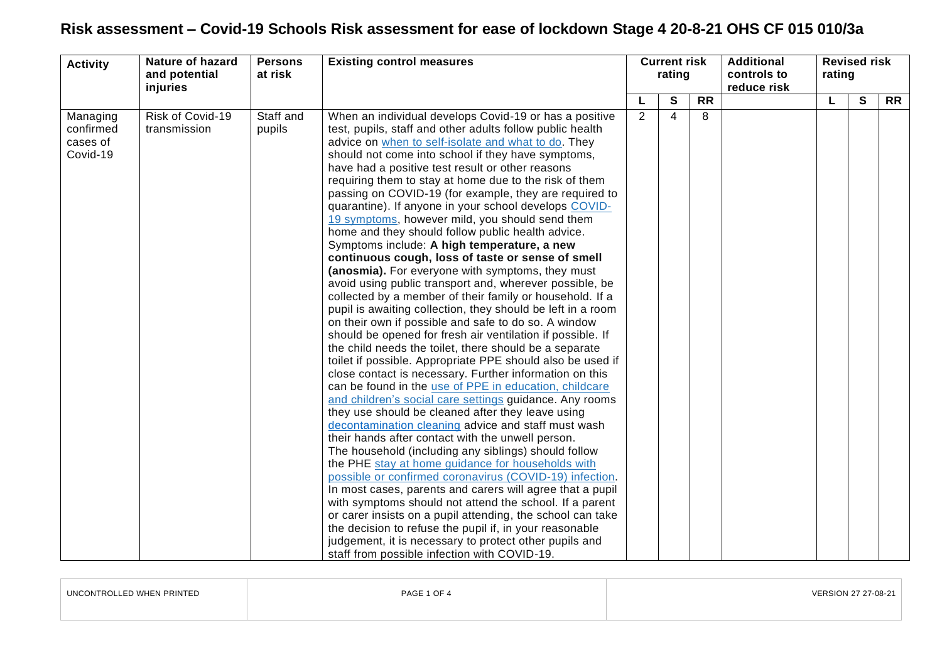| <b>Activity</b>                               | <b>Nature of hazard</b><br>and potential<br>injuries | <b>Persons</b><br>at risk | <b>Existing control measures</b>                                                                                                                                                                                                                                                                                                                                                                                                                                                                                                                                                                                                                                                                                                                                                                                                                                                                                                                                                                                                                                                                                                                                                                                                                                                                                                                                                                                                                                                                                                                                                                                                                                                                                                                                                                                                                                                                                                                                                                                                                          | <b>Current risk</b><br>rating |              |                 |  |    |              |           |  |  | <b>Additional</b><br>controls to<br>reduce risk | rating | <b>Revised risk</b> |  |
|-----------------------------------------------|------------------------------------------------------|---------------------------|-----------------------------------------------------------------------------------------------------------------------------------------------------------------------------------------------------------------------------------------------------------------------------------------------------------------------------------------------------------------------------------------------------------------------------------------------------------------------------------------------------------------------------------------------------------------------------------------------------------------------------------------------------------------------------------------------------------------------------------------------------------------------------------------------------------------------------------------------------------------------------------------------------------------------------------------------------------------------------------------------------------------------------------------------------------------------------------------------------------------------------------------------------------------------------------------------------------------------------------------------------------------------------------------------------------------------------------------------------------------------------------------------------------------------------------------------------------------------------------------------------------------------------------------------------------------------------------------------------------------------------------------------------------------------------------------------------------------------------------------------------------------------------------------------------------------------------------------------------------------------------------------------------------------------------------------------------------------------------------------------------------------------------------------------------------|-------------------------------|--------------|-----------------|--|----|--------------|-----------|--|--|-------------------------------------------------|--------|---------------------|--|
|                                               |                                                      |                           |                                                                                                                                                                                                                                                                                                                                                                                                                                                                                                                                                                                                                                                                                                                                                                                                                                                                                                                                                                                                                                                                                                                                                                                                                                                                                                                                                                                                                                                                                                                                                                                                                                                                                                                                                                                                                                                                                                                                                                                                                                                           |                               | $\mathbf{s}$ | $\overline{RR}$ |  | L. | $\mathbf{s}$ | <b>RR</b> |  |  |                                                 |        |                     |  |
| Managing<br>confirmed<br>cases of<br>Covid-19 | Risk of Covid-19<br>transmission                     | Staff and<br>pupils       | When an individual develops Covid-19 or has a positive<br>test, pupils, staff and other adults follow public health<br>advice on when to self-isolate and what to do. They<br>should not come into school if they have symptoms,<br>have had a positive test result or other reasons<br>requiring them to stay at home due to the risk of them<br>passing on COVID-19 (for example, they are required to<br>quarantine). If anyone in your school develops COVID-<br>19 symptoms, however mild, you should send them<br>home and they should follow public health advice.<br>Symptoms include: A high temperature, a new<br>continuous cough, loss of taste or sense of smell<br>(anosmia). For everyone with symptoms, they must<br>avoid using public transport and, wherever possible, be<br>collected by a member of their family or household. If a<br>pupil is awaiting collection, they should be left in a room<br>on their own if possible and safe to do so. A window<br>should be opened for fresh air ventilation if possible. If<br>the child needs the toilet, there should be a separate<br>toilet if possible. Appropriate PPE should also be used if<br>close contact is necessary. Further information on this<br>can be found in the use of PPE in education, childcare<br>and children's social care settings guidance. Any rooms<br>they use should be cleaned after they leave using<br>decontamination cleaning advice and staff must wash<br>their hands after contact with the unwell person.<br>The household (including any siblings) should follow<br>the PHE stay at home guidance for households with<br>possible or confirmed coronavirus (COVID-19) infection.<br>In most cases, parents and carers will agree that a pupil<br>with symptoms should not attend the school. If a parent<br>or carer insists on a pupil attending, the school can take<br>the decision to refuse the pupil if, in your reasonable<br>judgement, it is necessary to protect other pupils and<br>staff from possible infection with COVID-19. | $\overline{2}$                | 4            | 8               |  |    |              |           |  |  |                                                 |        |                     |  |

| UNCONTROLLED WHEN PRINTED | PAGE 1 OF 4 | VERSION 27 27-08-21 |
|---------------------------|-------------|---------------------|
|                           |             |                     |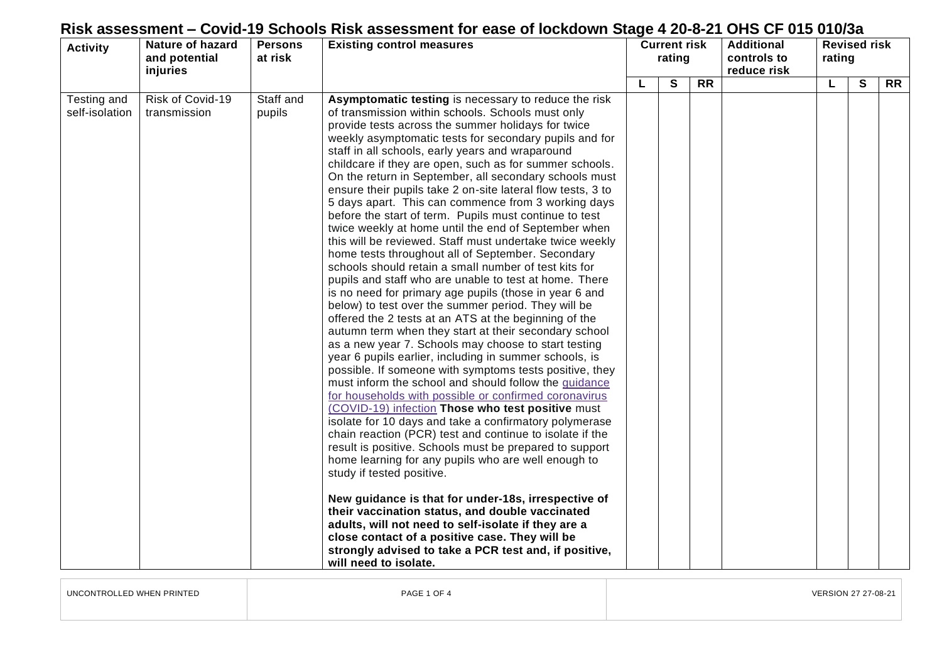| <b>Activity</b>               | <b>Nature of hazard</b><br>and potential<br>injuries | <b>Persons</b><br>at risk | <b>Existing control measures</b>                                                                                                                                                                                                                                                                                                                                                                                                                                                                                                                                                                                                                                                                                                                                                                                                                                                                                                                                                                                                                                                                                                                                                                                                                                                                                                                                                                                                                                                                                                                                                                                                                                                                                                                                                                                                                                                                                                                                                                                                                | <b>Current risk</b><br>rating |   |                 | <b>Additional</b><br>controls to<br>reduce risk | <b>Revised risk</b><br>rating |              |                 |
|-------------------------------|------------------------------------------------------|---------------------------|-------------------------------------------------------------------------------------------------------------------------------------------------------------------------------------------------------------------------------------------------------------------------------------------------------------------------------------------------------------------------------------------------------------------------------------------------------------------------------------------------------------------------------------------------------------------------------------------------------------------------------------------------------------------------------------------------------------------------------------------------------------------------------------------------------------------------------------------------------------------------------------------------------------------------------------------------------------------------------------------------------------------------------------------------------------------------------------------------------------------------------------------------------------------------------------------------------------------------------------------------------------------------------------------------------------------------------------------------------------------------------------------------------------------------------------------------------------------------------------------------------------------------------------------------------------------------------------------------------------------------------------------------------------------------------------------------------------------------------------------------------------------------------------------------------------------------------------------------------------------------------------------------------------------------------------------------------------------------------------------------------------------------------------------------|-------------------------------|---|-----------------|-------------------------------------------------|-------------------------------|--------------|-----------------|
|                               |                                                      |                           |                                                                                                                                                                                                                                                                                                                                                                                                                                                                                                                                                                                                                                                                                                                                                                                                                                                                                                                                                                                                                                                                                                                                                                                                                                                                                                                                                                                                                                                                                                                                                                                                                                                                                                                                                                                                                                                                                                                                                                                                                                                 |                               | S | $\overline{RR}$ |                                                 | L                             | $\mathbf{s}$ | $\overline{RR}$ |
| Testing and<br>self-isolation | Risk of Covid-19<br>transmission                     | Staff and<br>pupils       | Asymptomatic testing is necessary to reduce the risk<br>of transmission within schools. Schools must only<br>provide tests across the summer holidays for twice<br>weekly asymptomatic tests for secondary pupils and for<br>staff in all schools, early years and wraparound<br>childcare if they are open, such as for summer schools.<br>On the return in September, all secondary schools must<br>ensure their pupils take 2 on-site lateral flow tests, 3 to<br>5 days apart. This can commence from 3 working days<br>before the start of term. Pupils must continue to test<br>twice weekly at home until the end of September when<br>this will be reviewed. Staff must undertake twice weekly<br>home tests throughout all of September. Secondary<br>schools should retain a small number of test kits for<br>pupils and staff who are unable to test at home. There<br>is no need for primary age pupils (those in year 6 and<br>below) to test over the summer period. They will be<br>offered the 2 tests at an ATS at the beginning of the<br>autumn term when they start at their secondary school<br>as a new year 7. Schools may choose to start testing<br>year 6 pupils earlier, including in summer schools, is<br>possible. If someone with symptoms tests positive, they<br>must inform the school and should follow the guidance<br>for households with possible or confirmed coronavirus<br>(COVID-19) infection Those who test positive must<br>isolate for 10 days and take a confirmatory polymerase<br>chain reaction (PCR) test and continue to isolate if the<br>result is positive. Schools must be prepared to support<br>home learning for any pupils who are well enough to<br>study if tested positive.<br>New guidance is that for under-18s, irrespective of<br>their vaccination status, and double vaccinated<br>adults, will not need to self-isolate if they are a<br>close contact of a positive case. They will be<br>strongly advised to take a PCR test and, if positive,<br>will need to isolate. |                               |   |                 |                                                 |                               |              |                 |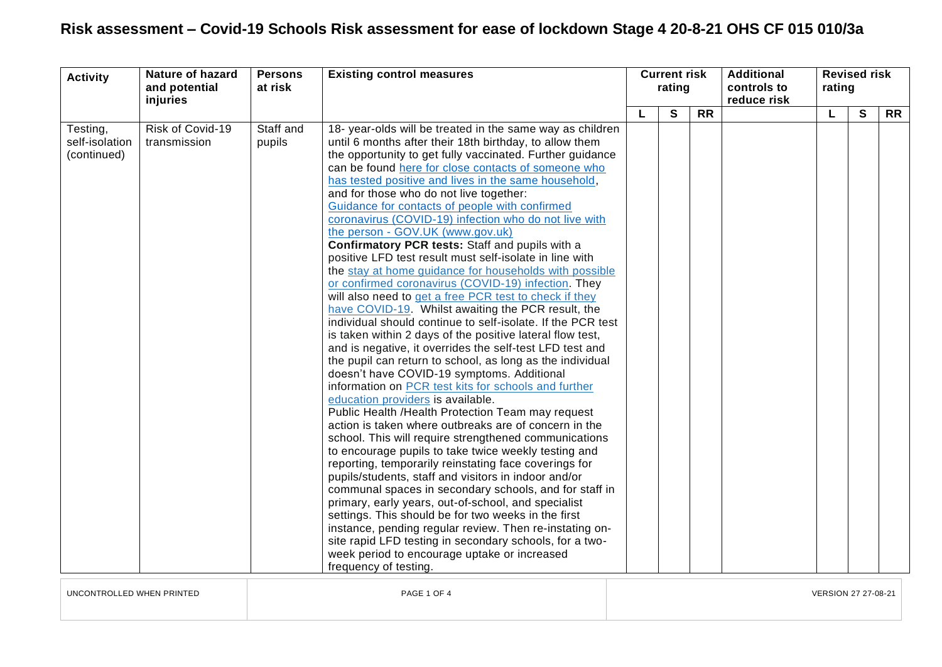| <b>Activity</b>                           | <b>Nature of hazard</b><br>and potential<br>injuries | <b>Persons</b><br>at risk | <b>Existing control measures</b>                                                                                                                                                                                                                                                                                                                                                                                                                                                                                                                                                                                                                                                                                                                                                                                                                                                                                                                                                                                                                                                                                                                                                                                                                                                                                                                                                                                                                                                                                                                                                                                                                                                                                                                                                                                                                                                                                                                                  | <b>Current risk</b><br>rating |   |           |  |  |   | <b>Additional</b><br>controls to<br>reduce risk |  | <b>Revised risk</b><br>rating |  |  |
|-------------------------------------------|------------------------------------------------------|---------------------------|-------------------------------------------------------------------------------------------------------------------------------------------------------------------------------------------------------------------------------------------------------------------------------------------------------------------------------------------------------------------------------------------------------------------------------------------------------------------------------------------------------------------------------------------------------------------------------------------------------------------------------------------------------------------------------------------------------------------------------------------------------------------------------------------------------------------------------------------------------------------------------------------------------------------------------------------------------------------------------------------------------------------------------------------------------------------------------------------------------------------------------------------------------------------------------------------------------------------------------------------------------------------------------------------------------------------------------------------------------------------------------------------------------------------------------------------------------------------------------------------------------------------------------------------------------------------------------------------------------------------------------------------------------------------------------------------------------------------------------------------------------------------------------------------------------------------------------------------------------------------------------------------------------------------------------------------------------------------|-------------------------------|---|-----------|--|--|---|-------------------------------------------------|--|-------------------------------|--|--|
|                                           |                                                      |                           |                                                                                                                                                                                                                                                                                                                                                                                                                                                                                                                                                                                                                                                                                                                                                                                                                                                                                                                                                                                                                                                                                                                                                                                                                                                                                                                                                                                                                                                                                                                                                                                                                                                                                                                                                                                                                                                                                                                                                                   |                               | S | <b>RR</b> |  |  | S | <b>RR</b>                                       |  |                               |  |  |
| Testing,<br>self-isolation<br>(continued) | Risk of Covid-19<br>transmission                     | Staff and<br>pupils       | 18- year-olds will be treated in the same way as children<br>until 6 months after their 18th birthday, to allow them<br>the opportunity to get fully vaccinated. Further guidance<br>can be found here for close contacts of someone who<br>has tested positive and lives in the same household,<br>and for those who do not live together:<br>Guidance for contacts of people with confirmed<br>coronavirus (COVID-19) infection who do not live with<br>the person - GOV.UK (www.gov.uk)<br>Confirmatory PCR tests: Staff and pupils with a<br>positive LFD test result must self-isolate in line with<br>the stay at home guidance for households with possible<br>or confirmed coronavirus (COVID-19) infection. They<br>will also need to get a free PCR test to check if they<br>have COVID-19. Whilst awaiting the PCR result, the<br>individual should continue to self-isolate. If the PCR test<br>is taken within 2 days of the positive lateral flow test,<br>and is negative, it overrides the self-test LFD test and<br>the pupil can return to school, as long as the individual<br>doesn't have COVID-19 symptoms. Additional<br>information on PCR test kits for schools and further<br>education providers is available.<br>Public Health / Health Protection Team may request<br>action is taken where outbreaks are of concern in the<br>school. This will require strengthened communications<br>to encourage pupils to take twice weekly testing and<br>reporting, temporarily reinstating face coverings for<br>pupils/students, staff and visitors in indoor and/or<br>communal spaces in secondary schools, and for staff in<br>primary, early years, out-of-school, and specialist<br>settings. This should be for two weeks in the first<br>instance, pending regular review. Then re-instating on-<br>site rapid LFD testing in secondary schools, for a two-<br>week period to encourage uptake or increased<br>frequency of testing. |                               |   |           |  |  |   |                                                 |  |                               |  |  |

UNCONTROLLED WHEN PRINTED **Example 21 On the Second PAGE 1 OF 4** PAGE 1 OF 4 VERSION 27 27-08-21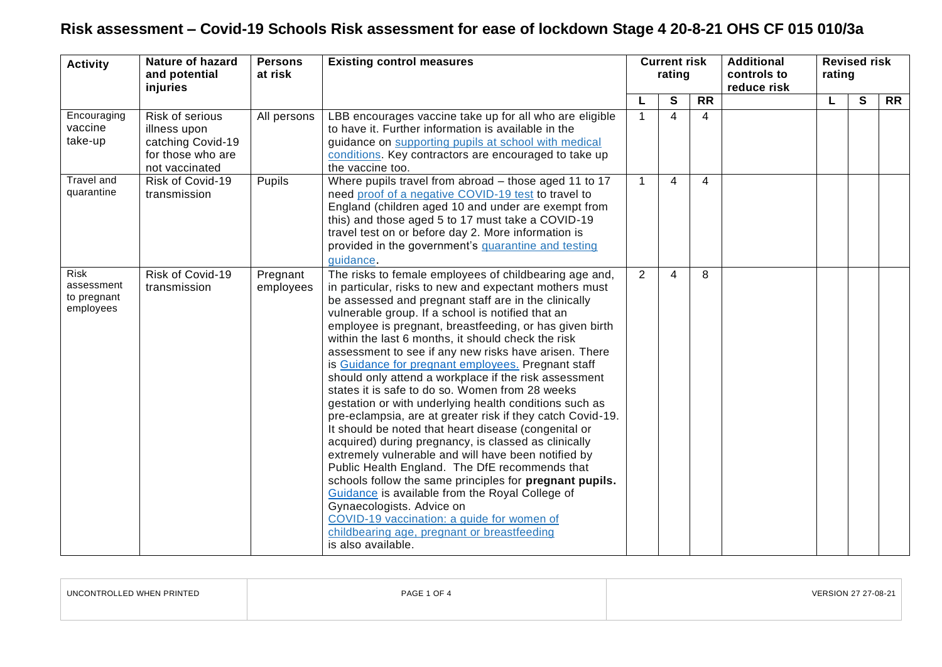| <b>Activity</b>                                | Nature of hazard<br>and potential<br>injuries                                               | <b>Persons</b><br>at risk | <b>Existing control measures</b>                                                                                                                                                                                                                                                                                                                                                                                                                                                                                                                                                                                                                                                                                                                                                                                                                                                                                                                                                                                                                                                                                                                                                         | <b>Current risk</b><br>rating |                         |                 | <b>Additional</b><br>controls to<br>reduce risk | <b>Revised risk</b><br>rating |   |                 |  |
|------------------------------------------------|---------------------------------------------------------------------------------------------|---------------------------|------------------------------------------------------------------------------------------------------------------------------------------------------------------------------------------------------------------------------------------------------------------------------------------------------------------------------------------------------------------------------------------------------------------------------------------------------------------------------------------------------------------------------------------------------------------------------------------------------------------------------------------------------------------------------------------------------------------------------------------------------------------------------------------------------------------------------------------------------------------------------------------------------------------------------------------------------------------------------------------------------------------------------------------------------------------------------------------------------------------------------------------------------------------------------------------|-------------------------------|-------------------------|-----------------|-------------------------------------------------|-------------------------------|---|-----------------|--|
|                                                |                                                                                             |                           |                                                                                                                                                                                                                                                                                                                                                                                                                                                                                                                                                                                                                                                                                                                                                                                                                                                                                                                                                                                                                                                                                                                                                                                          |                               | S                       | $\overline{RR}$ |                                                 |                               | S | $\overline{RR}$ |  |
| Encouraging<br>vaccine<br>take-up              | Risk of serious<br>illness upon<br>catching Covid-19<br>for those who are<br>not vaccinated | All persons               | LBB encourages vaccine take up for all who are eligible<br>to have it. Further information is available in the<br>guidance on supporting pupils at school with medical<br>conditions. Key contractors are encouraged to take up<br>the vaccine too.                                                                                                                                                                                                                                                                                                                                                                                                                                                                                                                                                                                                                                                                                                                                                                                                                                                                                                                                      | $\mathbf{1}$                  | $\overline{\mathbf{A}}$ | $\overline{4}$  |                                                 |                               |   |                 |  |
| Travel and<br>quarantine                       | Risk of Covid-19<br>transmission                                                            | Pupils                    | Where pupils travel from abroad - those aged 11 to 17<br>need proof of a negative COVID-19 test to travel to<br>England (children aged 10 and under are exempt from<br>this) and those aged 5 to 17 must take a COVID-19<br>travel test on or before day 2. More information is<br>provided in the government's quarantine and testing<br>guidance.                                                                                                                                                                                                                                                                                                                                                                                                                                                                                                                                                                                                                                                                                                                                                                                                                                      | $\mathbf 1$                   | $\overline{4}$          | 4               |                                                 |                               |   |                 |  |
| Risk<br>assessment<br>to pregnant<br>employees | Risk of Covid-19<br>transmission                                                            | Pregnant<br>employees     | The risks to female employees of childbearing age and,<br>in particular, risks to new and expectant mothers must<br>be assessed and pregnant staff are in the clinically<br>vulnerable group. If a school is notified that an<br>employee is pregnant, breastfeeding, or has given birth<br>within the last 6 months, it should check the risk<br>assessment to see if any new risks have arisen. There<br>is Guidance for pregnant employees. Pregnant staff<br>should only attend a workplace if the risk assessment<br>states it is safe to do so. Women from 28 weeks<br>gestation or with underlying health conditions such as<br>pre-eclampsia, are at greater risk if they catch Covid-19.<br>It should be noted that heart disease (congenital or<br>acquired) during pregnancy, is classed as clinically<br>extremely vulnerable and will have been notified by<br>Public Health England. The DfE recommends that<br>schools follow the same principles for pregnant pupils.<br>Guidance is available from the Royal College of<br>Gynaecologists. Advice on<br>COVID-19 vaccination: a guide for women of<br>childbearing age, pregnant or breastfeeding<br>is also available. | $\overline{2}$                | 4                       | 8               |                                                 |                               |   |                 |  |

| UNCONTROLLED WHEN PRINTED | PAGE 1 OF 4 | VERSION 27 27-08-21 |
|---------------------------|-------------|---------------------|
|                           |             |                     |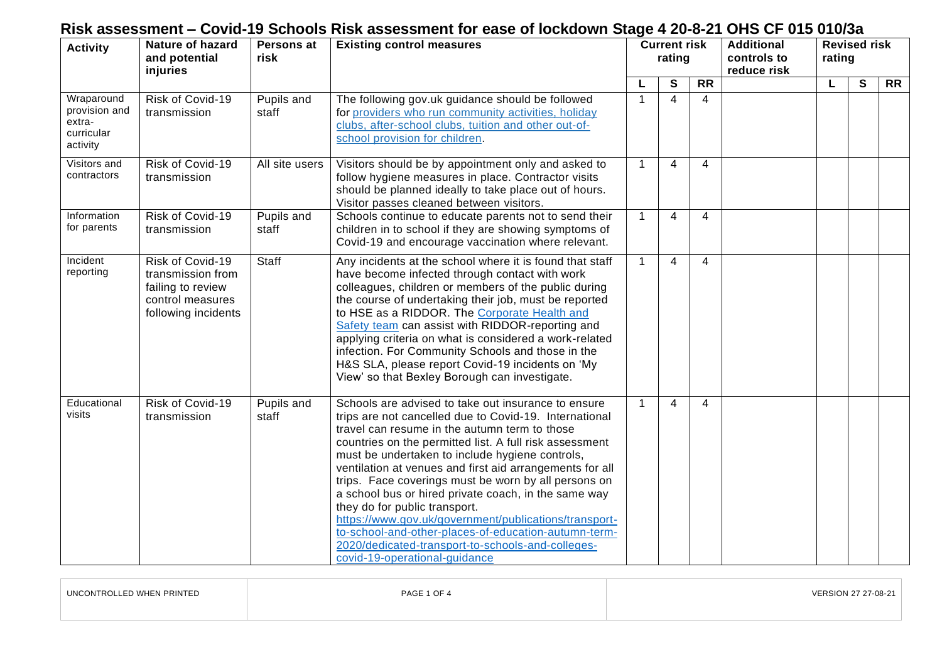| <b>Nature of hazard</b><br><b>Activity</b><br>and potential<br>injuries |                                                                                                       | Persons at<br>risk  | <b>Existing control measures</b>                                                                                                                                                                                                                                                                                                                                                                                                                                                                                                                                                                                                                                                                 |              | <b>Current risk</b><br>rating |                 | <b>Additional</b><br>controls to<br>reduce risk | <b>Revised risk</b><br>rating |                |                 |
|-------------------------------------------------------------------------|-------------------------------------------------------------------------------------------------------|---------------------|--------------------------------------------------------------------------------------------------------------------------------------------------------------------------------------------------------------------------------------------------------------------------------------------------------------------------------------------------------------------------------------------------------------------------------------------------------------------------------------------------------------------------------------------------------------------------------------------------------------------------------------------------------------------------------------------------|--------------|-------------------------------|-----------------|-------------------------------------------------|-------------------------------|----------------|-----------------|
|                                                                         |                                                                                                       |                     |                                                                                                                                                                                                                                                                                                                                                                                                                                                                                                                                                                                                                                                                                                  |              | S                             | $\overline{RR}$ |                                                 | L                             | $\overline{s}$ | $\overline{RR}$ |
| Wraparound<br>provision and<br>extra-<br>curricular<br>activity         | Risk of Covid-19<br>transmission                                                                      | Pupils and<br>staff | The following gov.uk guidance should be followed<br>for providers who run community activities, holiday<br>clubs, after-school clubs, tuition and other out-of-<br>school provision for children.                                                                                                                                                                                                                                                                                                                                                                                                                                                                                                | $\mathbf 1$  | 4                             | 4               |                                                 |                               |                |                 |
| Visitors and<br>contractors                                             | Risk of Covid-19<br>transmission                                                                      | All site users      | Visitors should be by appointment only and asked to<br>follow hygiene measures in place. Contractor visits<br>should be planned ideally to take place out of hours.<br>Visitor passes cleaned between visitors.                                                                                                                                                                                                                                                                                                                                                                                                                                                                                  | $\mathbf 1$  | 4                             | 4               |                                                 |                               |                |                 |
| Information<br>for parents                                              | Risk of Covid-19<br>transmission                                                                      | Pupils and<br>staff | Schools continue to educate parents not to send their<br>children in to school if they are showing symptoms of<br>Covid-19 and encourage vaccination where relevant.                                                                                                                                                                                                                                                                                                                                                                                                                                                                                                                             | $\mathbf 1$  | 4                             | 4               |                                                 |                               |                |                 |
| Incident<br>reporting                                                   | Risk of Covid-19<br>transmission from<br>failing to review<br>control measures<br>following incidents | Staff               | Any incidents at the school where it is found that staff<br>have become infected through contact with work<br>colleagues, children or members of the public during<br>the course of undertaking their job, must be reported<br>to HSE as a RIDDOR. The Corporate Health and<br>Safety team can assist with RIDDOR-reporting and<br>applying criteria on what is considered a work-related<br>infection. For Community Schools and those in the<br>H&S SLA, please report Covid-19 incidents on 'My<br>View' so that Bexley Borough can investigate.                                                                                                                                              | $\mathbf{1}$ | 4                             | 4               |                                                 |                               |                |                 |
| Educational<br>visits                                                   | Risk of Covid-19<br>transmission                                                                      | Pupils and<br>staff | Schools are advised to take out insurance to ensure<br>trips are not cancelled due to Covid-19. International<br>travel can resume in the autumn term to those<br>countries on the permitted list. A full risk assessment<br>must be undertaken to include hygiene controls,<br>ventilation at venues and first aid arrangements for all<br>trips. Face coverings must be worn by all persons on<br>a school bus or hired private coach, in the same way<br>they do for public transport.<br>https://www.gov.uk/government/publications/transport-<br>to-school-and-other-places-of-education-autumn-term-<br>2020/dedicated-transport-to-schools-and-colleges-<br>covid-19-operational-quidance | $\mathbf{1}$ | 4                             | 4               |                                                 |                               |                |                 |

| UNCONTROLLED WHEN PRINTED | PAGE 1 OF 4 | VERSION 27 27-08-21 |
|---------------------------|-------------|---------------------|
|                           |             |                     |

 $\overline{1}$ 

 $\sim$   $\sim$   $\sim$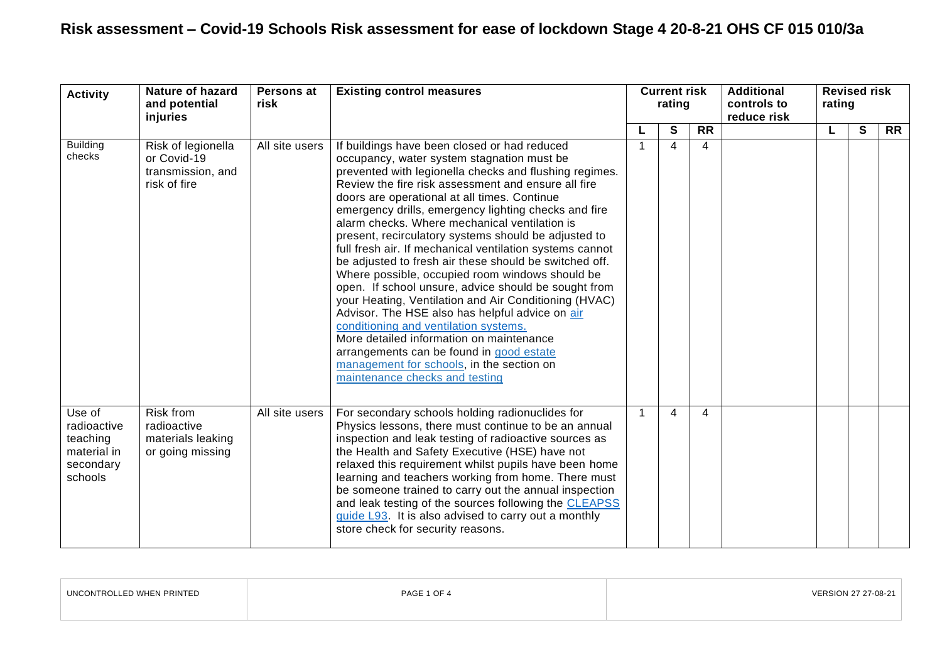| <b>Activity</b>                                                          | Nature of hazard<br>and potential<br>injuries                          | Persons at<br>risk | <b>Existing control measures</b>                                                                                                                                                                                                                                                                                                                                                                                                                                                                                                                                                                                                                                                                                                                                                                                                                                                                                                                                                          | <b>Current risk</b><br>rating |   |           | <b>Additional</b><br>controls to<br>reduce risk | <b>Revised risk</b><br>rating |   |           |  |
|--------------------------------------------------------------------------|------------------------------------------------------------------------|--------------------|-------------------------------------------------------------------------------------------------------------------------------------------------------------------------------------------------------------------------------------------------------------------------------------------------------------------------------------------------------------------------------------------------------------------------------------------------------------------------------------------------------------------------------------------------------------------------------------------------------------------------------------------------------------------------------------------------------------------------------------------------------------------------------------------------------------------------------------------------------------------------------------------------------------------------------------------------------------------------------------------|-------------------------------|---|-----------|-------------------------------------------------|-------------------------------|---|-----------|--|
|                                                                          |                                                                        |                    |                                                                                                                                                                                                                                                                                                                                                                                                                                                                                                                                                                                                                                                                                                                                                                                                                                                                                                                                                                                           |                               | S | <b>RR</b> |                                                 | L                             | S | <b>RR</b> |  |
| <b>Building</b><br>checks                                                | Risk of legionella<br>or Covid-19<br>transmission, and<br>risk of fire | All site users     | If buildings have been closed or had reduced<br>occupancy, water system stagnation must be<br>prevented with legionella checks and flushing regimes.<br>Review the fire risk assessment and ensure all fire<br>doors are operational at all times. Continue<br>emergency drills, emergency lighting checks and fire<br>alarm checks. Where mechanical ventilation is<br>present, recirculatory systems should be adjusted to<br>full fresh air. If mechanical ventilation systems cannot<br>be adjusted to fresh air these should be switched off.<br>Where possible, occupied room windows should be<br>open. If school unsure, advice should be sought from<br>your Heating, Ventilation and Air Conditioning (HVAC)<br>Advisor. The HSE also has helpful advice on air<br>conditioning and ventilation systems.<br>More detailed information on maintenance<br>arrangements can be found in good estate<br>management for schools, in the section on<br>maintenance checks and testing | 1                             | 4 | 4         |                                                 |                               |   |           |  |
| Use of<br>radioactive<br>teaching<br>material in<br>secondary<br>schools | Risk from<br>radioactive<br>materials leaking<br>or going missing      | All site users     | For secondary schools holding radionuclides for<br>Physics lessons, there must continue to be an annual<br>inspection and leak testing of radioactive sources as<br>the Health and Safety Executive (HSE) have not<br>relaxed this requirement whilst pupils have been home<br>learning and teachers working from home. There must<br>be someone trained to carry out the annual inspection<br>and leak testing of the sources following the CLEAPSS<br>guide L93. It is also advised to carry out a monthly<br>store check for security reasons.                                                                                                                                                                                                                                                                                                                                                                                                                                         | 1                             | 4 | 4         |                                                 |                               |   |           |  |

| UNCONTROLLED WHEN PRINTED | PAGE 1 OF 4 | VERSION 27 27-08-21 |
|---------------------------|-------------|---------------------|
|                           |             |                     |
|                           |             |                     |